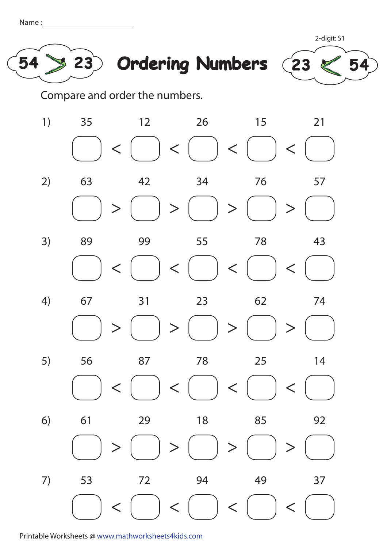|  | Name |  |
|--|------|--|
|  |      |  |





## **54 23 Ordering Numbers 23 54**



Compare and order the numbers.



Printable Worksheets @ www.mathworksheets4kids.com